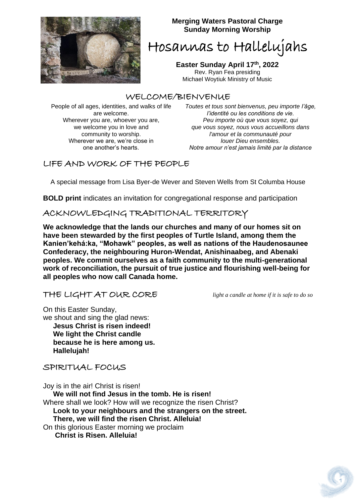

#### **Merging Waters Pastoral Charge Sunday Morning Worship**

Hosannas to Hallelujahs

**Easter Sunday April 17th, 2022** Rev. Ryan Fea presiding Michael Woytiuk Ministry of Music

## WELCOME/BIENVENUE

People of all ages, identities, and walks of life are welcome. Wherever you are, whoever you are, we welcome you in love and community to worship. Wherever we are, we're close in one another's hearts.

*Toutes et tous sont bienvenus, peu importe l'âge, l'identité ou les conditions de vie. Peu importe où que vous soyez, qui que vous soyez, nous vous accueillons dans l'amour et la communauté pour louer Dieu ensembles. Notre amour n'est jamais limité par la distance*

## LIFE AND WORK OF THE PEOPLE

A special message from Lisa Byer-de Wever and Steven Wells from St Columba House

**BOLD print** indicates an invitation for congregational response and participation

## ACKNOWLEDGING TRADITIONAL TERRITORY

**We acknowledge that the lands our churches and many of our homes sit on have been stewarded by the first peoples of Turtle Island, among them the Kanien'kehá:ka, "Mohawk" peoples, as well as nations of the Haudenosaunee Confederacy, the neighbouring Huron-Wendat, Anishinaabeg, and Abenaki peoples. We commit ourselves as a faith community to the multi-generational work of reconciliation, the pursuit of true justice and flourishing well-being for all peoples who now call Canada home.**

### THE LIGHT AT OUR CORE *light a candle at home if it is safe to do so*

On this Easter Sunday,

we shout and sing the glad news:  **Jesus Christ is risen indeed! We light the Christ candle because he is here among us. Hallelujah!** 

### SPIRITUAL FOCUS

Joy is in the air! Christ is risen!  **We will not find Jesus in the tomb. He is risen!**  Where shall we look? How will we recognize the risen Christ?  **Look to your neighbours and the strangers on the street. There, we will find the risen Christ. Alleluia!**  On this glorious Easter morning we proclaim  **Christ is Risen. Alleluia!**

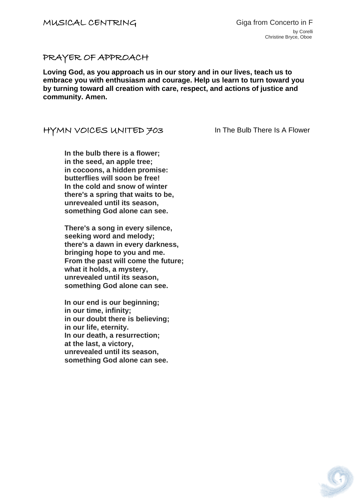#### PRAYER OF APPROACH

**Loving God, as you approach us in our story and in our lives, teach us to embrace you with enthusiasm and courage. Help us learn to turn toward you by turning toward all creation with care, respect, and actions of justice and community. Amen.**

#### HYMN VOICES UNITED 703 In The Bulb There Is A Flower

**In the bulb there is a flower; in the seed, an apple tree; in cocoons, a hidden promise: butterflies will soon be free! In the cold and snow of winter there's a spring that waits to be, unrevealed until its season, something God alone can see.**

**There's a song in every silence, seeking word and melody; there's a dawn in every darkness, bringing hope to you and me. From the past will come the future; what it holds, a mystery, unrevealed until its season, something God alone can see.**

**In our end is our beginning; in our time, infinity; in our doubt there is believing; in our life, eternity. In our death, a resurrection; at the last, a victory, unrevealed until its season, something God alone can see.**

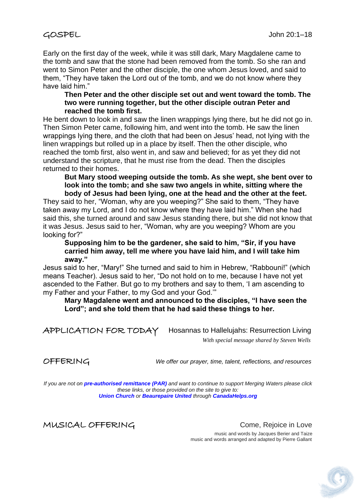Early on the first day of the week, while it was still dark, Mary Magdalene came to the tomb and saw that the stone had been removed from the tomb. So she ran and went to Simon Peter and the other disciple, the one whom Jesus loved, and said to them, "They have taken the Lord out of the tomb, and we do not know where they have laid him."

#### **Then Peter and the other disciple set out and went toward the tomb. The two were running together, but the other disciple outran Peter and reached the tomb first.**

He bent down to look in and saw the linen wrappings lying there, but he did not go in. Then Simon Peter came, following him, and went into the tomb. He saw the linen wrappings lying there, and the cloth that had been on Jesus' head, not lying with the linen wrappings but rolled up in a place by itself. Then the other disciple, who reached the tomb first, also went in, and saw and believed; for as yet they did not understand the scripture, that he must rise from the dead. Then the disciples returned to their homes.

**But Mary stood weeping outside the tomb. As she wept, she bent over to look into the tomb; and she saw two angels in white, sitting where the body of Jesus had been lying, one at the head and the other at the feet.** 

They said to her, "Woman, why are you weeping?" She said to them, "They have taken away my Lord, and I do not know where they have laid him." When she had said this, she turned around and saw Jesus standing there, but she did not know that it was Jesus. Jesus said to her, "Woman, why are you weeping? Whom are you looking for?"

**Supposing him to be the gardener, she said to him, "Sir, if you have carried him away, tell me where you have laid him, and I will take him away."**

Jesus said to her, "Mary!" She turned and said to him in Hebrew, "Rabbouni!" (which means Teacher). Jesus said to her, "Do not hold on to me, because I have not yet ascended to the Father. But go to my brothers and say to them, 'I am ascending to my Father and your Father, to my God and your God.'"

**Mary Magdalene went and announced to the disciples, "I have seen the Lord"; and she told them that he had said these things to her.**

APPLICATION FOR TODAYHosannas to Hallelujahs: Resurrection Living

*With special message shared by Steven Wells*

OFFERING *We offer our prayer, time, talent, reflections, and resources*

*If you are not on pre-authorised [remittance \(PAR\)](http://mergingwaters.ca/mt-content/uploads/2020/03/form_par-authorization.pdf) and want to continue to support Merging Waters please click these links, or those provided on the site to give to: [Union Church](https://www.canadahelps.org/en/charities/union-church-ste-anne-de-bellevue/) o[r](https://www.canadahelps.org/en/charities/beaurepaire-united-church/) [Beaurepaire United](https://www.canadahelps.org/en/charities/beaurepaire-united-church/) through [CanadaHelps.org](http://www.canadahelps.org/)*

MUSICAL OFFERING Come, Rejoice in Love

 music and words by Jacques Berier and Taize music and words arranged and adapted by Pierre Gallant

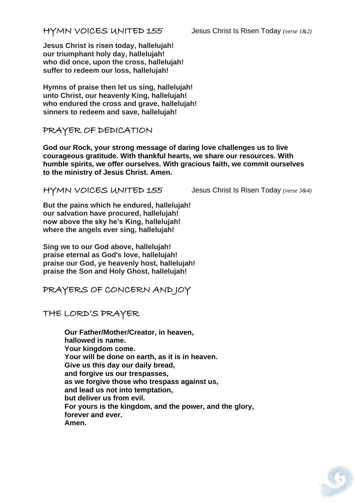### HYMN VOICES UNITED 155Jesus Christ Is Risen Today *(verse 1&2)*

**Jesus Christ is risen today, hallelujah! our triumphant holy day, hallelujah! who did once, upon the cross, hallelujah! suffer to redeem our loss, hallelujah!**

**Hymns of praise then let us sing, hallelujah! unto Christ, our heavenly King, hallelujah! who endured the cross and grave, hallelujah! sinners to redeem and save, hallelujah!**

PRAYER OF DEDICATION

**God our Rock, your strong message of daring love challenges us to live courageous gratitude. With thankful hearts, we share our resources. With humble spirits, we offer ourselves. With gracious faith, we commit ourselves to the ministry of Jesus Christ. Amen.**

HYMN VOICES UNITED 155Jesus Christ Is Risen Today *(verse 3&4)*

**But the pains which he endured, hallelujah! our salvation have procured, hallelujah! now above the sky he's King, hallelujah! where the angels ever sing, hallelujah!**

**Sing we to our God above, hallelujah! praise eternal as God's love, hallelujah! praise our God, ye heavenly host, hallelujah! praise the Son and Holy Ghost, hallelujah!**

PRAYERS OF CONCERN AND JOY

THE LORD'S PRAYER

**Our Father/Mother/Creator, in heaven, hallowed is name. Your kingdom come. Your will be done on earth, as it is in heaven. Give us this day our daily bread, and forgive us our trespasses, as we forgive those who trespass against us, and lead us not into temptation, but deliver us from evil. For yours is the kingdom, and the power, and the glory, forever and ever. Amen.**

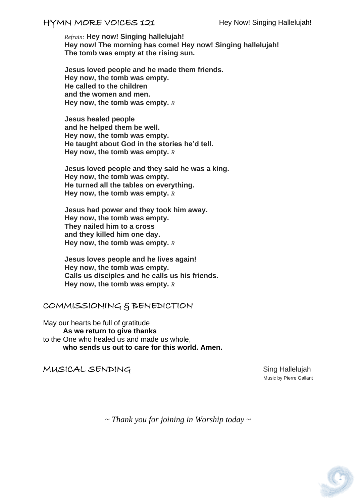## HYMN MORE VOICES 121 Hey Now! Singing Hallelujah!

*Refrain:* **Hey now! Singing hallelujah! Hey now! The morning has come! Hey now! Singing hallelujah! The tomb was empty at the rising sun.**

**Jesus loved people and he made them friends. Hey now, the tomb was empty. He called to the children and the women and men. Hey now, the tomb was empty.** *R*

**Jesus healed people and he helped them be well. Hey now, the tomb was empty. He taught about God in the stories he'd tell. Hey now, the tomb was empty.** *R*

**Jesus loved people and they said he was a king. Hey now, the tomb was empty. He turned all the tables on everything. Hey now, the tomb was empty.** *R*

**Jesus had power and they took him away. Hey now, the tomb was empty. They nailed him to a cross and they killed him one day. Hey now, the tomb was empty.** *R*

**Jesus loves people and he lives again! Hey now, the tomb was empty. Calls us disciples and he calls us his friends. Hey now, the tomb was empty.** *<sup>R</sup>*

### COMMISSIONING & BENEDICTION

May our hearts be full of gratitude **As we return to give thanks** to the One who healed us and made us whole, **who sends us out to care for this world. Amen.**

#### MUSICAL SENDING<br>
Sing Hallelujah

Music by Pierre Gallant

*~ Thank you for joining in Worship today ~*

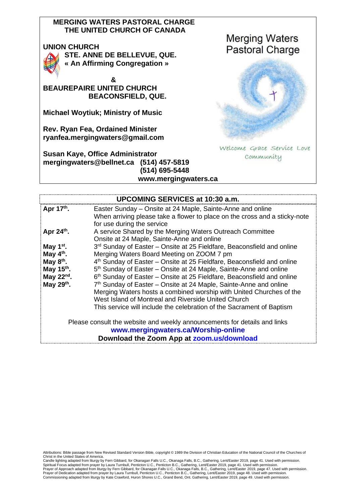#### **MERGING WATERS PASTORAL CHARGE THE UNITED CHURCH OF CANADA**

#### **UNION CHURCH**



**STE. ANNE DE BELLEVUE, QUE. « An Affirming Congregation »** 

 **& BEAUREPAIRE UNITED CHURCH BEACONSFIELD, QUE.**

**Michael Woytiuk; Ministry of Music**

**Rev. Ryan Fea, Ordained Minister [ryanfea.mergingwaters@gmail.com](mailto:ryanfea.mergingwaters@gmail.com)** 

**Susan Kaye, Office Administrator [mergingwaters@bellnet.ca](mailto:mergingwaters@bellnet.ca) (514) 457-5819 (514) 695-5448 [www.mergingwaters.ca](http://www.mergingwaters.ca/)**



| <b>UPCOMING SERVICES at 10:30 a.m.</b>                                    |                                                                                    |
|---------------------------------------------------------------------------|------------------------------------------------------------------------------------|
| Apr 17th.                                                                 | Easter Sunday – Onsite at 24 Maple, Sainte-Anne and online                         |
|                                                                           | When arriving please take a flower to place on the cross and a sticky-note         |
|                                                                           | for use during the service                                                         |
| Apr $24th$ .                                                              | A service Shared by the Merging Waters Outreach Committee                          |
|                                                                           | Onsite at 24 Maple, Sainte-Anne and online                                         |
| May $1st$ .                                                               | 3rd Sunday of Easter – Onsite at 25 Fieldfare, Beaconsfield and online             |
| May $4th$ .                                                               | Merging Waters Board Meeting on ZOOM 7 pm                                          |
| May $8th$ .                                                               | 4 <sup>th</sup> Sunday of Easter – Onsite at 25 Fieldfare, Beaconsfield and online |
| May 15 <sup>th</sup> .                                                    | 5 <sup>th</sup> Sunday of Easter – Onsite at 24 Maple, Sainte-Anne and online      |
| May $22^{nd}$ .                                                           | 6 <sup>th</sup> Sunday of Easter – Onsite at 25 Fieldfare, Beaconsfield and online |
| May $29th$ .                                                              | 7 <sup>th</sup> Sunday of Easter – Onsite at 24 Maple, Sainte-Anne and online      |
|                                                                           | Merging Waters hosts a combined worship with United Churches of the                |
|                                                                           | West Island of Montreal and Riverside United Church                                |
|                                                                           | This service will include the celebration of the Sacrament of Baptism              |
| Please consult the website and weekly announcements for details and links |                                                                                    |
| www.mergingwaters.ca/Worship-online                                       |                                                                                    |
| Download the Zoom App at zoom.us/download                                 |                                                                                    |

Attributions: Bible passage from New Revised Standard Version Bible, copyright © 1989 the Division of Christian Education of the National Council of the Churches of Christ in the United States of America.